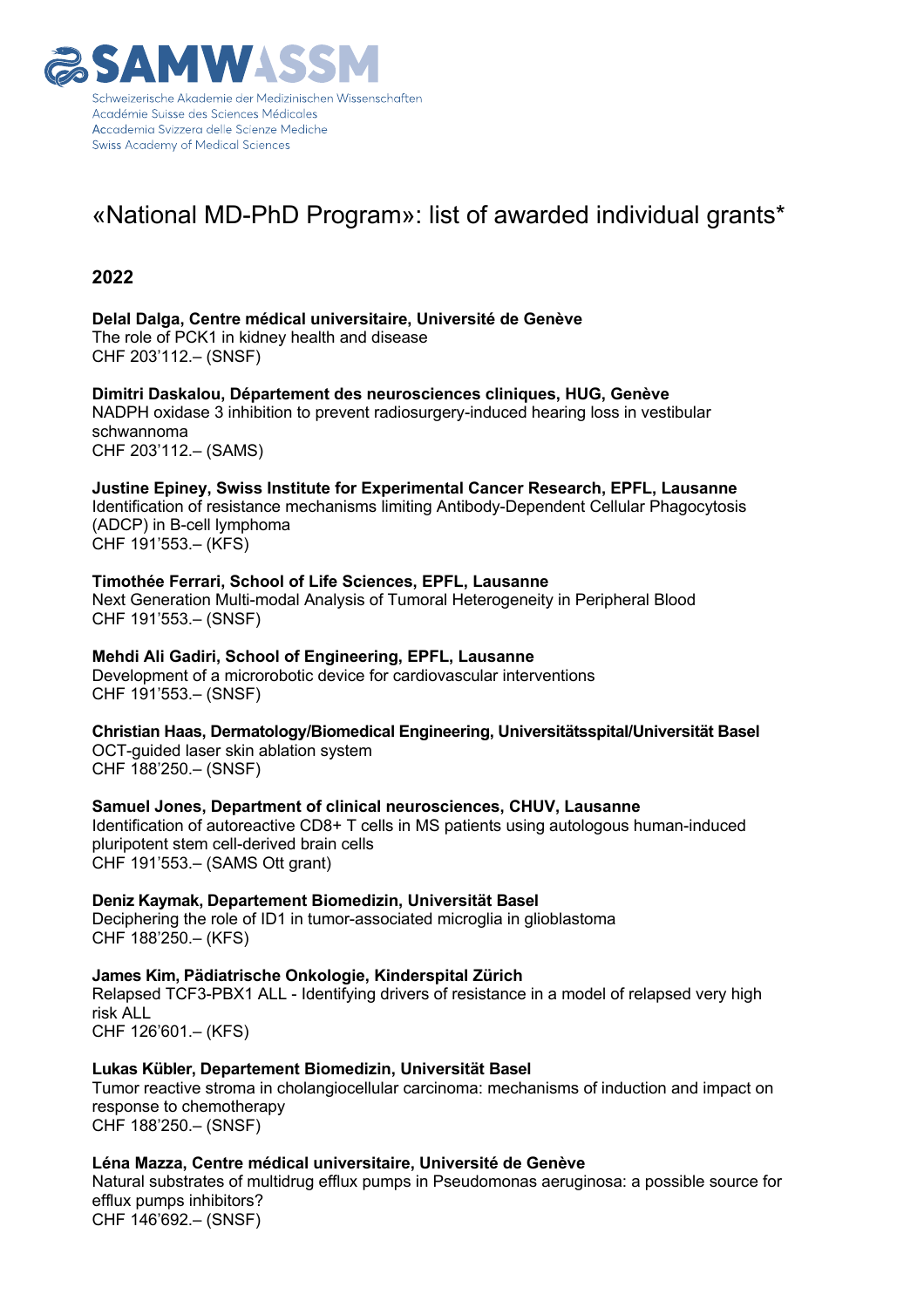

## «National MD-PhD Program»: list of awarded individual grants\*

## **2022**

**Delal Dalga, Centre médical universitaire, Université de Genève** The role of PCK1 in kidney health and disease CHF 203'112.– (SNSF)

**Dimitri Daskalou, Département des neurosciences cliniques, HUG, Genève** NADPH oxidase 3 inhibition to prevent radiosurgery-induced hearing loss in vestibular schwannoma CHF 203'112.– (SAMS)

**Justine Epiney, Swiss Institute for Experimental Cancer Research, EPFL, Lausanne** Identification of resistance mechanisms limiting Antibody-Dependent Cellular Phagocytosis (ADCP) in B-cell lymphoma CHF 191'553.– (KFS)

**Timothée Ferrari, School of Life Sciences, EPFL, Lausanne** Next Generation Multi-modal Analysis of Tumoral Heterogeneity in Peripheral Blood CHF 191'553.– (SNSF)

**Mehdi Ali Gadiri, School of Engineering, EPFL, Lausanne** Development of a microrobotic device for cardiovascular interventions CHF 191'553.– (SNSF)

**Christian Haas, Dermatology/Biomedical Engineering, Universitätsspital/Universität Basel**  OCT-guided laser skin ablation system CHF 188'250.– (SNSF)

**Samuel Jones, Department of clinical neurosciences, CHUV, Lausanne** Identification of autoreactive CD8+ T cells in MS patients using autologous human-induced pluripotent stem cell-derived brain cells CHF 191'553.– (SAMS Ott grant)

**Deniz Kaymak, Departement Biomedizin, Universität Basel**  Deciphering the role of ID1 in tumor-associated microglia in glioblastoma CHF 188'250.– (KFS)

**James Kim, Pädiatrische Onkologie, Kinderspital Zürich** Relapsed TCF3-PBX1 ALL - Identifying drivers of resistance in a model of relapsed very high risk ALL CHF 126'601.– (KFS)

**Lukas Kübler, Departement Biomedizin, Universität Basel**  Tumor reactive stroma in cholangiocellular carcinoma: mechanisms of induction and impact on response to chemotherapy CHF 188'250.– (SNSF)

**Léna Mazza, Centre médical universitaire, Université de Genève**

Natural substrates of multidrug efflux pumps in Pseudomonas aeruginosa: a possible source for efflux pumps inhibitors? CHF 146'692.– (SNSF)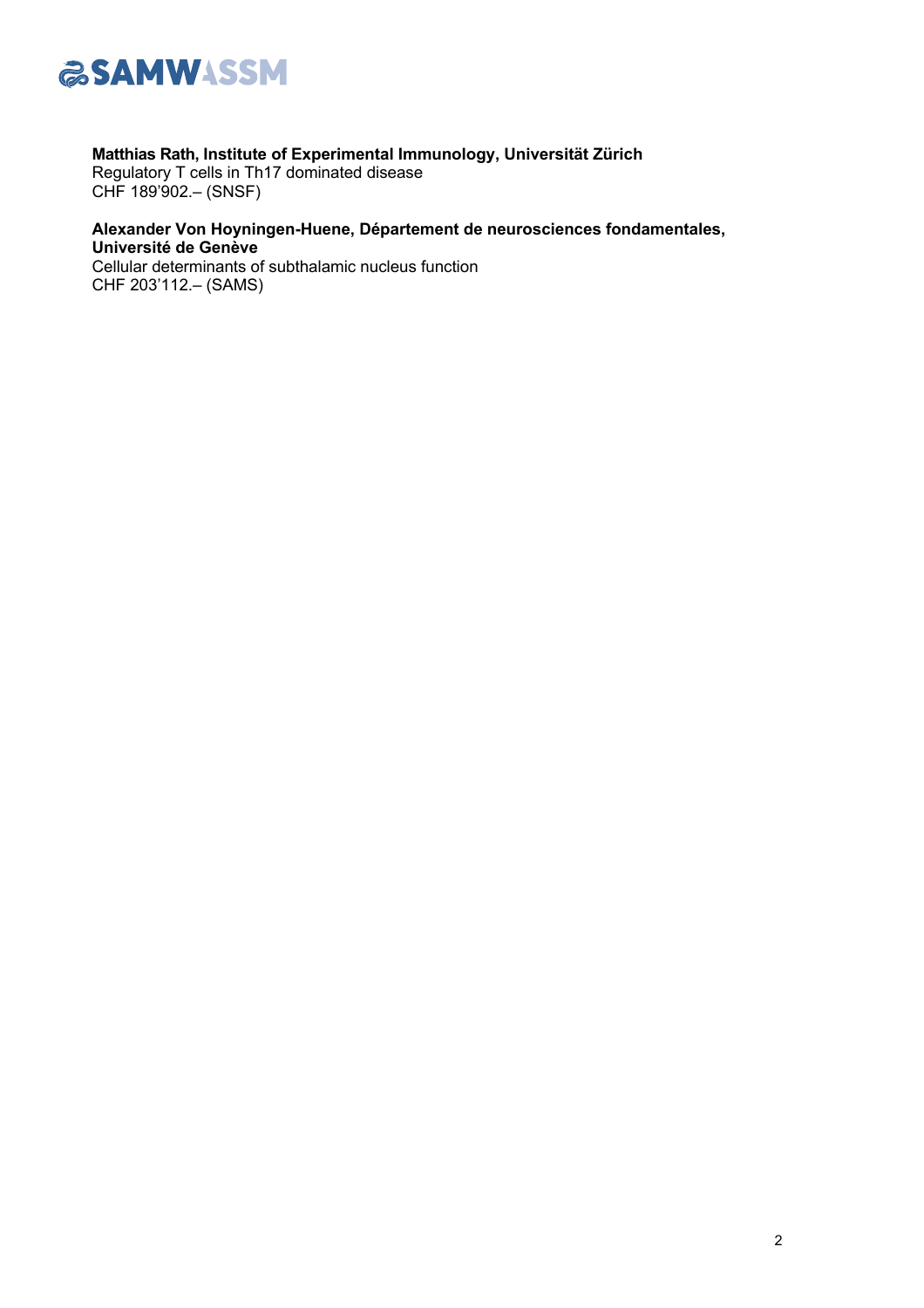

## **Matthias Rath, Institute of Experimental Immunology, Universität Zürich**

Regulatory T cells in Th17 dominated disease CHF 189'902.– (SNSF)

## **Alexander Von Hoyningen-Huene, Département de neurosciences fondamentales, Université de Genève**

Cellular determinants of subthalamic nucleus function CHF 203'112.– (SAMS)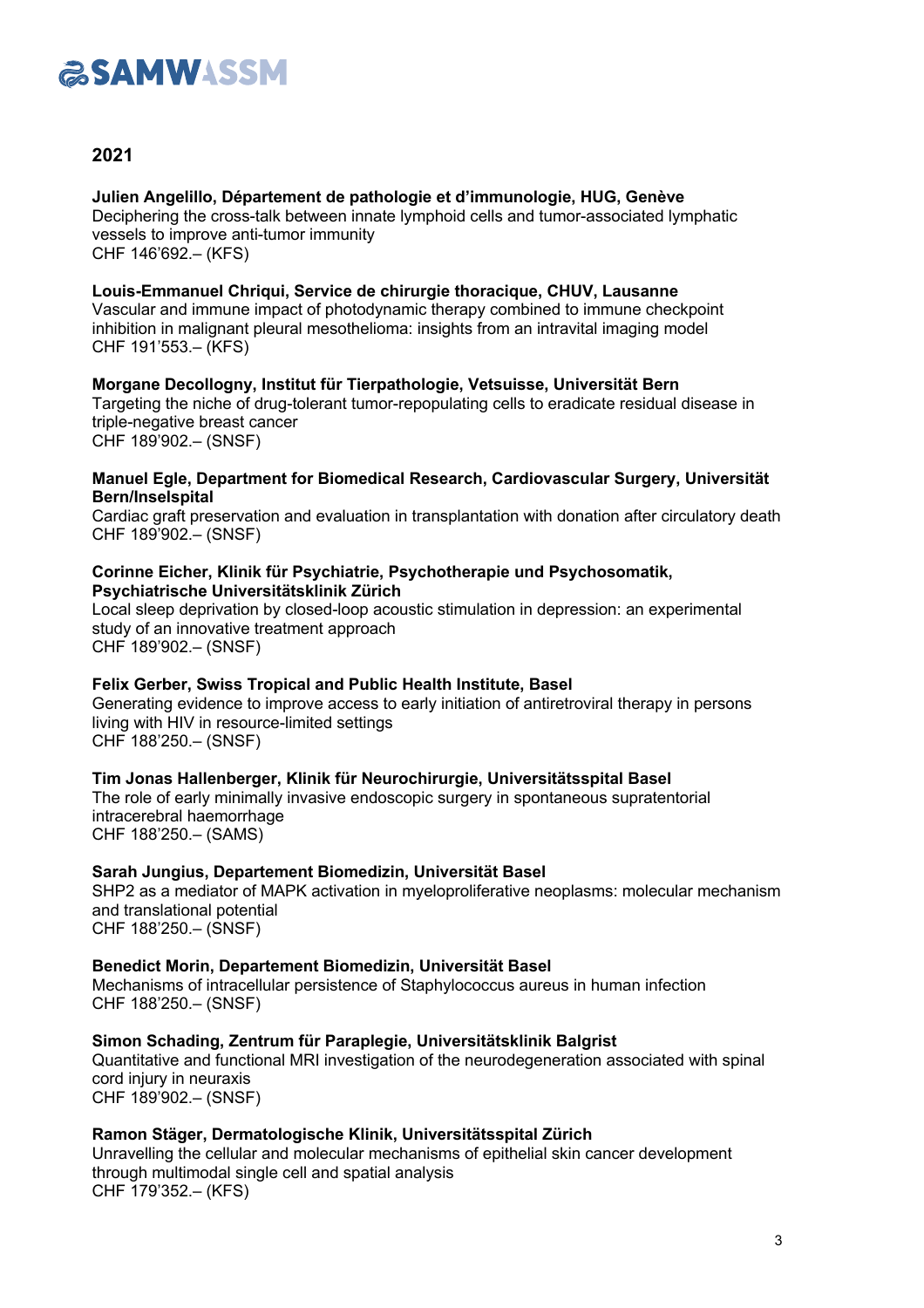

## **2021**

**Julien Angelillo, Département de pathologie et d'immunologie, HUG, Genève** Deciphering the cross-talk between innate lymphoid cells and tumor-associated lymphatic vessels to improve anti-tumor immunity CHF 146'692.– (KFS)

**Louis-Emmanuel Chriqui, Service de chirurgie thoracique, CHUV, Lausanne** Vascular and immune impact of photodynamic therapy combined to immune checkpoint inhibition in malignant pleural mesothelioma: insights from an intravital imaging model CHF 191'553.– (KFS)

#### **Morgane Decollogny, Institut für Tierpathologie, Vetsuisse, Universität Bern** Targeting the niche of drug-tolerant tumor-repopulating cells to eradicate residual disease in triple-negative breast cancer CHF 189'902.– (SNSF)

#### **Manuel Egle, Department for Biomedical Research, Cardiovascular Surgery, Universität Bern/Inselspital**

Cardiac graft preservation and evaluation in transplantation with donation after circulatory death CHF 189'902.– (SNSF)

#### **Corinne Eicher, Klinik für Psychiatrie, Psychotherapie und Psychosomatik, Psychiatrische Universitätsklinik Zürich**

Local sleep deprivation by closed-loop acoustic stimulation in depression: an experimental study of an innovative treatment approach CHF 189'902.– (SNSF)

#### **Felix Gerber, Swiss Tropical and Public Health Institute, Basel**

Generating evidence to improve access to early initiation of antiretroviral therapy in persons living with HIV in resource-limited settings CHF 188'250.– (SNSF)

**Tim Jonas Hallenberger, Klinik für Neurochirurgie, Universitätsspital Basel** The role of early minimally invasive endoscopic surgery in spontaneous supratentorial intracerebral haemorrhage

CHF 188'250.– (SAMS)

#### **Sarah Jungius, Departement Biomedizin, Universität Basel**

SHP2 as a mediator of MAPK activation in myeloproliferative neoplasms: molecular mechanism and translational potential CHF 188'250.– (SNSF)

**Benedict Morin, Departement Biomedizin, Universität Basel** Mechanisms of intracellular persistence of Staphylococcus aureus in human infection CHF 188'250.– (SNSF)

**Simon Schading, Zentrum für Paraplegie, Universitätsklinik Balgrist** Quantitative and functional MRI investigation of the neurodegeneration associated with spinal cord injury in neuraxis CHF 189'902.– (SNSF)

#### **Ramon Stäger, Dermatologische Klinik, Universitätsspital Zürich**

Unravelling the cellular and molecular mechanisms of epithelial skin cancer development through multimodal single cell and spatial analysis CHF 179'352.– (KFS)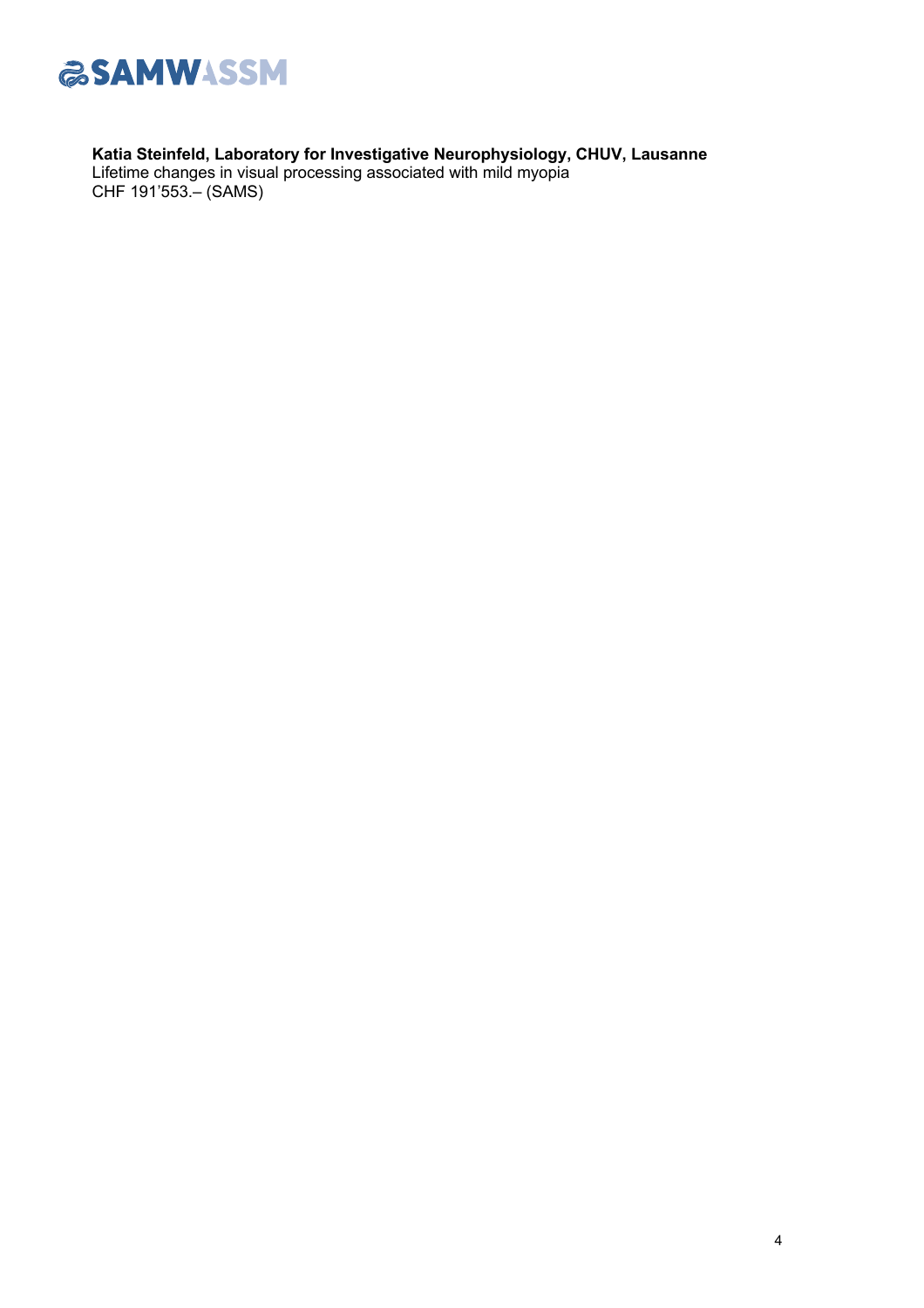

**Katia Steinfeld, Laboratory for Investigative Neurophysiology, CHUV, Lausanne** Lifetime changes in visual processing associated with mild myopia CHF 191'553.– (SAMS)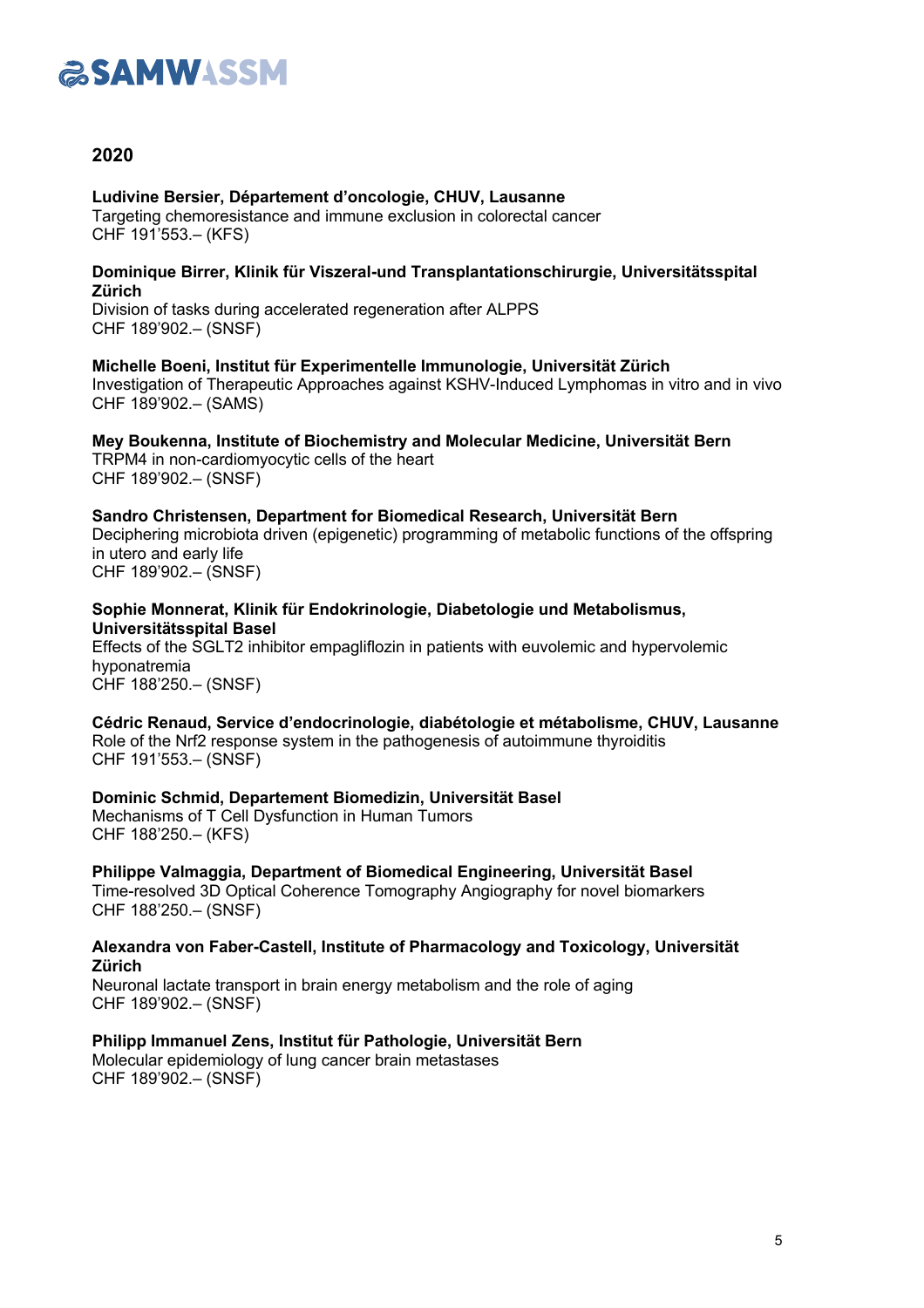# **ESAMWASSM**

## **2020**

**Ludivine Bersier, Département d'oncologie, CHUV, Lausanne**

Targeting chemoresistance and immune exclusion in colorectal cancer CHF 191'553.– (KFS)

#### **Dominique Birrer, Klinik für Viszeral-und Transplantationschirurgie, Universitätsspital Zürich**

Division of tasks during accelerated regeneration after ALPPS CHF 189'902.– (SNSF)

**Michelle Boeni, Institut für Experimentelle Immunologie, Universität Zürich** Investigation of Therapeutic Approaches against KSHV-Induced Lymphomas in vitro and in vivo CHF 189'902.– (SAMS)

**Mey Boukenna, Institute of Biochemistry and Molecular Medicine, Universität Bern** TRPM4 in non-cardiomyocytic cells of the heart CHF 189'902.– (SNSF)

## **Sandro Christensen, Department for Biomedical Research, Universität Bern**

Deciphering microbiota driven (epigenetic) programming of metabolic functions of the offspring in utero and early life CHF 189'902.– (SNSF)

**Sophie Monnerat, Klinik für Endokrinologie, Diabetologie und Metabolismus, Universitätsspital Basel**

Effects of the SGLT2 inhibitor empagliflozin in patients with euvolemic and hypervolemic hyponatremia CHF 188'250.– (SNSF)

**Cédric Renaud, Service d'endocrinologie, diabétologie et métabolisme, CHUV, Lausanne** Role of the Nrf2 response system in the pathogenesis of autoimmune thyroiditis CHF 191'553.– (SNSF)

**Dominic Schmid, Departement Biomedizin, Universität Basel** Mechanisms of T Cell Dysfunction in Human Tumors CHF 188'250.– (KFS)

**Philippe Valmaggia, Department of Biomedical Engineering, Universität Basel** Time-resolved 3D Optical Coherence Tomography Angiography for novel biomarkers CHF 188'250.– (SNSF)

**Alexandra von Faber-Castell, Institute of Pharmacology and Toxicology, Universität Zürich**

Neuronal lactate transport in brain energy metabolism and the role of aging CHF 189'902.– (SNSF)

**Philipp Immanuel Zens, Institut für Pathologie, Universität Bern** Molecular epidemiology of lung cancer brain metastases

CHF 189'902.– (SNSF)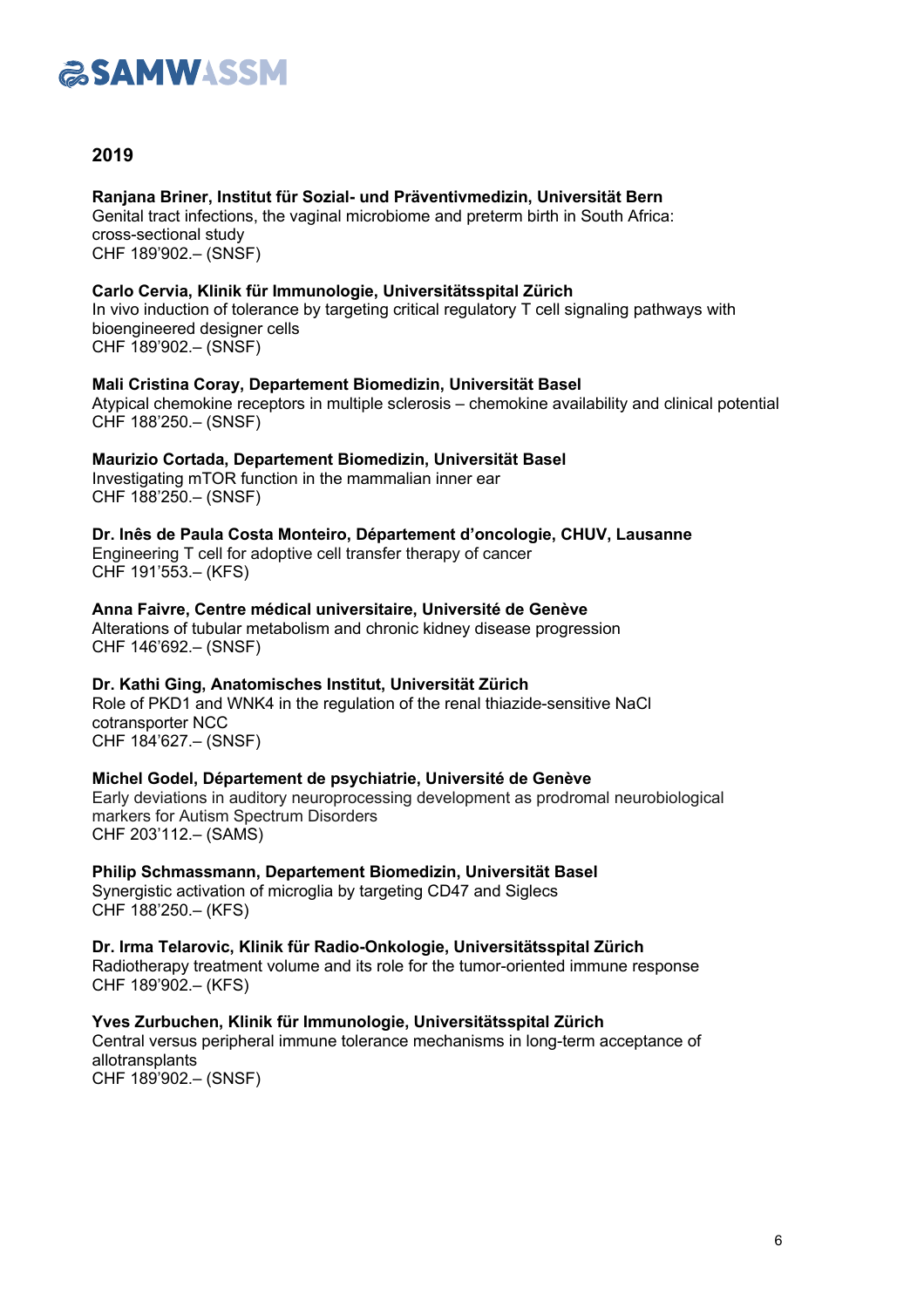

## **2019**

#### **Ranjana Briner, Institut für Sozial- und Präventivmedizin, Universität Bern**

Genital tract infections, the vaginal microbiome and preterm birth in South Africa: cross-sectional study CHF 189'902.– (SNSF)

#### **Carlo Cervia, Klinik für Immunologie, Universitätsspital Zürich**

In vivo induction of tolerance by targeting critical regulatory T cell signaling pathways with bioengineered designer cells CHF 189'902.– (SNSF)

#### **Mali Cristina Coray, Departement Biomedizin, Universität Basel**

Atypical chemokine receptors in multiple sclerosis – chemokine availability and clinical potential CHF 188'250.– (SNSF)

#### **Maurizio Cortada, Departement Biomedizin, Universität Basel**

Investigating mTOR function in the mammalian inner ear CHF 188'250.– (SNSF)

**Dr. Inês de Paula Costa Monteiro, Département d'oncologie, CHUV, Lausanne** Engineering T cell for adoptive cell transfer therapy of cancer CHF 191'553.– (KFS)

**Anna Faivre, Centre médical universitaire, Université de Genève** Alterations of tubular metabolism and chronic kidney disease progression CHF 146'692.– (SNSF)

#### **Dr. Kathi Ging, Anatomisches Institut, Universität Zürich** Role of PKD1 and WNK4 in the regulation of the renal thiazide-sensitive NaCl cotransporter NCC

CHF 184'627.– (SNSF)

#### **Michel Godel, Département de psychiatrie, Université de Genève**

Early deviations in auditory neuroprocessing development as prodromal neurobiological markers for Autism Spectrum Disorders CHF 203'112.– (SAMS)

## **Philip Schmassmann, Departement Biomedizin, Universität Basel**

Synergistic activation of microglia by targeting CD47 and Siglecs CHF 188'250.– (KFS)

#### **Dr. Irma Telarovic, Klinik für Radio-Onkologie, Universitätsspital Zürich**

Radiotherapy treatment volume and its role for the tumor-oriented immune response CHF 189'902.– (KFS)

**Yves Zurbuchen, Klinik für Immunologie, Universitätsspital Zürich** Central versus peripheral immune tolerance mechanisms in long-term acceptance of allotransplants CHF 189'902.– (SNSF)